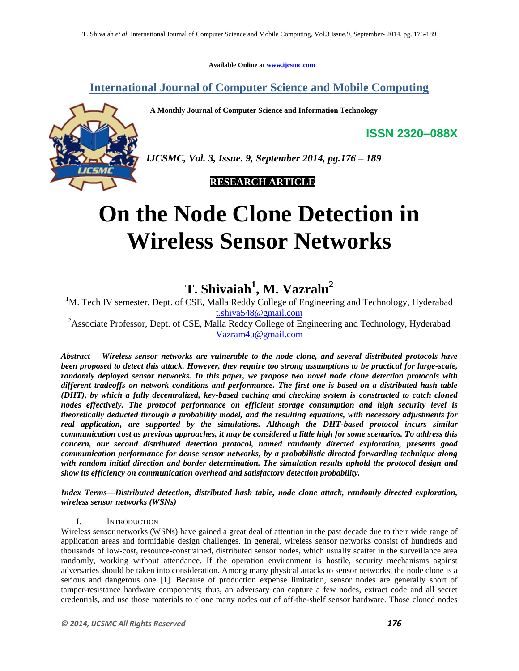**Available Online at www.ijcsmc.com**

**International Journal of Computer Science and Mobile Computing**

 **A Monthly Journal of Computer Science and Information Technology**



*IJCSMC, Vol. 3, Issue. 9, September 2014, pg.176 – 189*

 **RESEARCH ARTICLE**

# **On the Node Clone Detection in Wireless Sensor Networks**

## **T. Shivaiah<sup>1</sup> , M. Vazralu<sup>2</sup>**

 $1$ M. Tech IV semester, Dept. of CSE, Malla Reddy College of Engineering and Technology, Hyderabad t.shiva548@gmail.com <sup>2</sup>Associate Professor, Dept. of CSE, Malla Reddy College of Engineering and Technology, Hyderabad

Vazram4u@gmail.com

*Abstract— Wireless sensor networks are vulnerable to the node clone, and several distributed protocols have been proposed to detect this attack. However, they require too strong assumptions to be practical for large-scale, randomly deployed sensor networks. In this paper, we propose two novel node clone detection protocols with different tradeoffs on network conditions and performance. The first one is based on a distributed hash table (DHT), by which a fully decentralized, key-based caching and checking system is constructed to catch cloned nodes effectively. The protocol performance on efficient storage consumption and high security level is theoretically deducted through a probability model, and the resulting equations, with necessary adjustments for real application, are supported by the simulations. Although the DHT-based protocol incurs similar communication cost as previous approaches, it may be considered a little high for some scenarios. To address this concern, our second distributed detection protocol, named randomly directed exploration, presents good communication performance for dense sensor networks, by a probabilistic directed forwarding technique along with random initial direction and border determination. The simulation results uphold the protocol design and show its efficiency on communication overhead and satisfactory detection probability.*

*Index Terms—Distributed detection, distributed hash table, node clone attack, randomly directed exploration, wireless sensor networks (WSNs)*

#### I. INTRODUCTION

Wireless sensor networks (WSNs) have gained a great deal of attention in the past decade due to their wide range of application areas and formidable design challenges. In general, wireless sensor networks consist of hundreds and thousands of low-cost, resource-constrained, distributed sensor nodes, which usually scatter in the surveillance area randomly, working without attendance. If the operation environment is hostile, security mechanisms against adversaries should be taken into consideration. Among many physical attacks to sensor networks, the node clone is a serious and dangerous one [1]. Because of production expense limitation, sensor nodes are generally short of tamper-resistance hardware components; thus, an adversary can capture a few nodes, extract code and all secret credentials, and use those materials to clone many nodes out of off-the-shelf sensor hardware. Those cloned nodes

**ISSN 2320–088X**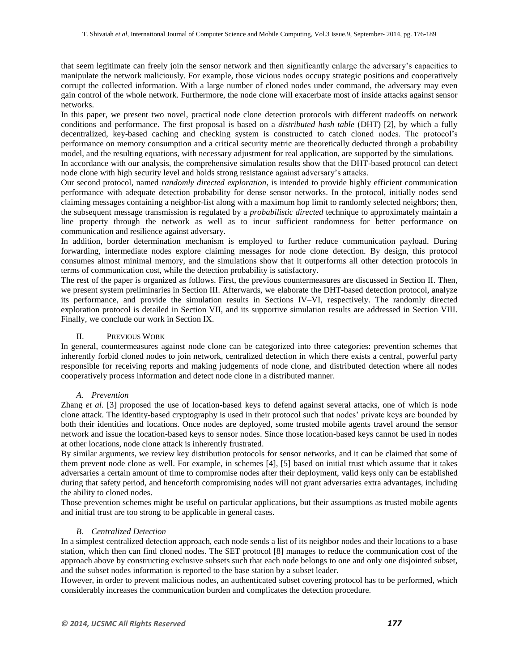that seem legitimate can freely join the sensor network and then significantly enlarge the adversary's capacities to manipulate the network maliciously. For example, those vicious nodes occupy strategic positions and cooperatively corrupt the collected information. With a large number of cloned nodes under command, the adversary may even gain control of the whole network. Furthermore, the node clone will exacerbate most of inside attacks against sensor networks.

In this paper, we present two novel, practical node clone detection protocols with different tradeoffs on network conditions and performance. The first proposal is based on a *distributed hash table* (DHT) [2], by which a fully decentralized, key-based caching and checking system is constructed to catch cloned nodes. The protocol's performance on memory consumption and a critical security metric are theoretically deducted through a probability model, and the resulting equations, with necessary adjustment for real application, are supported by the simulations. In accordance with our analysis, the comprehensive simulation results show that the DHT-based protocol can detect

node clone with high security level and holds strong resistance against adversary's attacks.

Our second protocol, named *randomly directed exploration*, is intended to provide highly efficient communication performance with adequate detection probability for dense sensor networks. In the protocol, initially nodes send claiming messages containing a neighbor-list along with a maximum hop limit to randomly selected neighbors; then, the subsequent message transmission is regulated by a *probabilistic directed* technique to approximately maintain a line property through the network as well as to incur sufficient randomness for better performance on communication and resilience against adversary.

In addition, border determination mechanism is employed to further reduce communication payload. During forwarding, intermediate nodes explore claiming messages for node clone detection. By design, this protocol consumes almost minimal memory, and the simulations show that it outperforms all other detection protocols in terms of communication cost, while the detection probability is satisfactory.

The rest of the paper is organized as follows. First, the previous countermeasures are discussed in Section II. Then, we present system preliminaries in Section III. Afterwards, we elaborate the DHT-based detection protocol, analyze its performance, and provide the simulation results in Sections IV–VI, respectively. The randomly directed exploration protocol is detailed in Section VII, and its supportive simulation results are addressed in Section VIII. Finally, we conclude our work in Section IX.

#### II. PREVIOUS WORK

In general, countermeasures against node clone can be categorized into three categories: prevention schemes that inherently forbid cloned nodes to join network, centralized detection in which there exists a central, powerful party responsible for receiving reports and making judgements of node clone, and distributed detection where all nodes cooperatively process information and detect node clone in a distributed manner.

#### *A. Prevention*

Zhang *et al.* [3] proposed the use of location-based keys to defend against several attacks, one of which is node clone attack. The identity-based cryptography is used in their protocol such that nodes' private keys are bounded by both their identities and locations. Once nodes are deployed, some trusted mobile agents travel around the sensor network and issue the location-based keys to sensor nodes. Since those location-based keys cannot be used in nodes at other locations, node clone attack is inherently frustrated.

By similar arguments, we review key distribution protocols for sensor networks, and it can be claimed that some of them prevent node clone as well. For example, in schemes [4], [5] based on initial trust which assume that it takes adversaries a certain amount of time to compromise nodes after their deployment, valid keys only can be established during that safety period, and henceforth compromising nodes will not grant adversaries extra advantages, including the ability to cloned nodes.

Those prevention schemes might be useful on particular applications, but their assumptions as trusted mobile agents and initial trust are too strong to be applicable in general cases.

#### *B. Centralized Detection*

In a simplest centralized detection approach, each node sends a list of its neighbor nodes and their locations to a base station, which then can find cloned nodes. The SET protocol [8] manages to reduce the communication cost of the approach above by constructing exclusive subsets such that each node belongs to one and only one disjointed subset, and the subset nodes information is reported to the base station by a subset leader.

However, in order to prevent malicious nodes, an authenticated subset covering protocol has to be performed, which considerably increases the communication burden and complicates the detection procedure.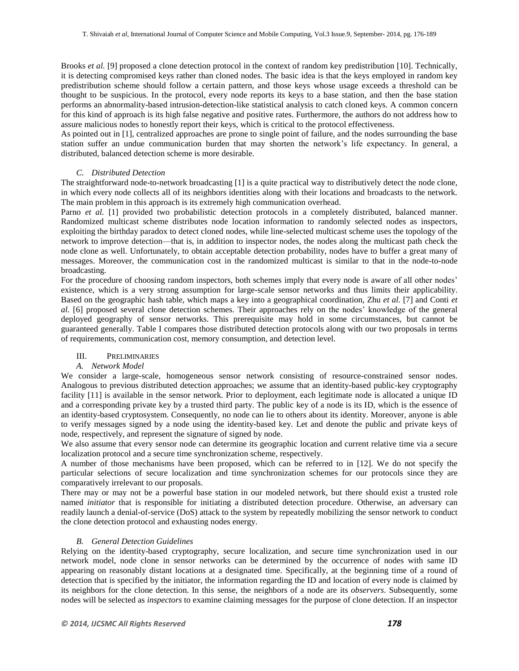Brooks *et al.* [9] proposed a clone detection protocol in the context of random key predistribution [10]. Technically, it is detecting compromised keys rather than cloned nodes. The basic idea is that the keys employed in random key predistribution scheme should follow a certain pattern, and those keys whose usage exceeds a threshold can be thought to be suspicious. In the protocol, every node reports its keys to a base station, and then the base station performs an abnormality-based intrusion-detection-like statistical analysis to catch cloned keys. A common concern for this kind of approach is its high false negative and positive rates. Furthermore, the authors do not address how to assure malicious nodes to honestly report their keys, which is critical to the protocol effectiveness.

As pointed out in [1], centralized approaches are prone to single point of failure, and the nodes surrounding the base station suffer an undue communication burden that may shorten the network's life expectancy. In general, a distributed, balanced detection scheme is more desirable.

#### *C. Distributed Detection*

The straightforward node-to-network broadcasting [1] is a quite practical way to distributively detect the node clone, in which every node collects all of its neighbors identities along with their locations and broadcasts to the network. The main problem in this approach is its extremely high communication overhead.

Parno *et al.* [1] provided two probabilistic detection protocols in a completely distributed, balanced manner. Randomized multicast scheme distributes node location information to randomly selected nodes as inspectors, exploiting the birthday paradox to detect cloned nodes, while line-selected multicast scheme uses the topology of the network to improve detection—that is, in addition to inspector nodes, the nodes along the multicast path check the node clone as well. Unfortunately, to obtain acceptable detection probability, nodes have to buffer a great many of messages. Moreover, the communication cost in the randomized multicast is similar to that in the node-to-node broadcasting.

For the procedure of choosing random inspectors, both schemes imply that every node is aware of all other nodes' existence, which is a very strong assumption for large-scale sensor networks and thus limits their applicability. Based on the geographic hash table, which maps a key into a geographical coordination, Zhu *et al.* [7] and Conti *et al.* [6] proposed several clone detection schemes. Their approaches rely on the nodes' knowledge of the general deployed geography of sensor networks. This prerequisite may hold in some circumstances, but cannot be guaranteed generally. Table I compares those distributed detection protocols along with our two proposals in terms of requirements, communication cost, memory consumption, and detection level.

#### III. PRELIMINARIES

#### *A. Network Model*

We consider a large-scale, homogeneous sensor network consisting of resource-constrained sensor nodes. Analogous to previous distributed detection approaches; we assume that an identity-based public-key cryptography facility [11] is available in the sensor network. Prior to deployment, each legitimate node is allocated a unique ID and a corresponding private key by a trusted third party. The public key of a node is its ID, which is the essence of an identity-based cryptosystem. Consequently, no node can lie to others about its identity. Moreover, anyone is able to verify messages signed by a node using the identity-based key. Let and denote the public and private keys of node, respectively, and represent the signature of signed by node.

We also assume that every sensor node can determine its geographic location and current relative time via a secure localization protocol and a secure time synchronization scheme, respectively.

A number of those mechanisms have been proposed, which can be referred to in [12]. We do not specify the particular selections of secure localization and time synchronization schemes for our protocols since they are comparatively irrelevant to our proposals.

There may or may not be a powerful base station in our modeled network, but there should exist a trusted role named *initiator* that is responsible for initiating a distributed detection procedure. Otherwise, an adversary can readily launch a denial-of-service (DoS) attack to the system by repeatedly mobilizing the sensor network to conduct the clone detection protocol and exhausting nodes energy.

#### *B. General Detection Guidelines*

Relying on the identity-based cryptography, secure localization, and secure time synchronization used in our network model, node clone in sensor networks can be determined by the occurrence of nodes with same ID appearing on reasonably distant locations at a designated time. Specifically, at the beginning time of a round of detection that is specified by the initiator, the information regarding the ID and location of every node is claimed by its neighbors for the clone detection. In this sense, the neighbors of a node are its *observers*. Subsequently, some nodes will be selected as *inspectors* to examine claiming messages for the purpose of clone detection. If an inspector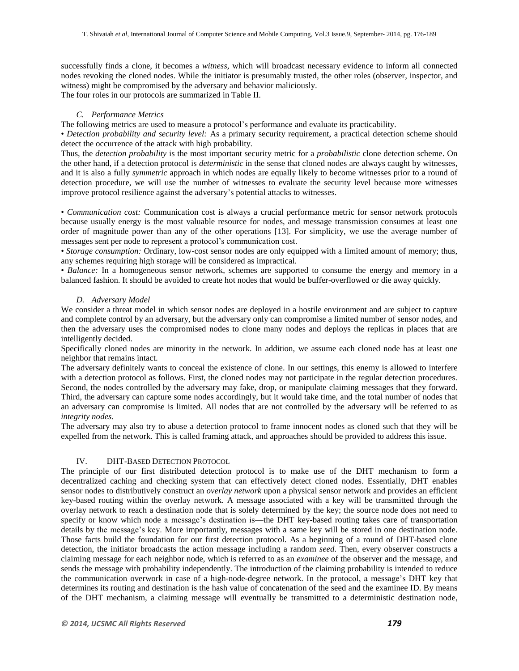successfully finds a clone, it becomes a *witness*, which will broadcast necessary evidence to inform all connected nodes revoking the cloned nodes. While the initiator is presumably trusted, the other roles (observer, inspector, and witness) might be compromised by the adversary and behavior maliciously. The four roles in our protocols are summarized in Table II.

#### *C. Performance Metrics*

The following metrics are used to measure a protocol's performance and evaluate its practicability.

• *Detection probability and security level:* As a primary security requirement, a practical detection scheme should detect the occurrence of the attack with high probability.

Thus, the *detection probability* is the most important security metric for a *probabilistic* clone detection scheme. On the other hand, if a detection protocol is *deterministic* in the sense that cloned nodes are always caught by witnesses, and it is also a fully *symmetric* approach in which nodes are equally likely to become witnesses prior to a round of detection procedure, we will use the number of witnesses to evaluate the security level because more witnesses improve protocol resilience against the adversary's potential attacks to witnesses.

• *Communication cost:* Communication cost is always a crucial performance metric for sensor network protocols because usually energy is the most valuable resource for nodes, and message transmission consumes at least one order of magnitude power than any of the other operations [13]. For simplicity, we use the average number of messages sent per node to represent a protocol's communication cost.

• *Storage consumption:* Ordinary, low-cost sensor nodes are only equipped with a limited amount of memory; thus, any schemes requiring high storage will be considered as impractical.

• *Balance:* In a homogeneous sensor network, schemes are supported to consume the energy and memory in a balanced fashion. It should be avoided to create hot nodes that would be buffer-overflowed or die away quickly.

#### *D. Adversary Model*

We consider a threat model in which sensor nodes are deployed in a hostile environment and are subject to capture and complete control by an adversary, but the adversary only can compromise a limited number of sensor nodes, and then the adversary uses the compromised nodes to clone many nodes and deploys the replicas in places that are intelligently decided.

Specifically cloned nodes are minority in the network. In addition, we assume each cloned node has at least one neighbor that remains intact.

The adversary definitely wants to conceal the existence of clone. In our settings, this enemy is allowed to interfere with a detection protocol as follows. First, the cloned nodes may not participate in the regular detection procedures. Second, the nodes controlled by the adversary may fake, drop, or manipulate claiming messages that they forward. Third, the adversary can capture some nodes accordingly, but it would take time, and the total number of nodes that an adversary can compromise is limited. All nodes that are not controlled by the adversary will be referred to as *integrity nodes*.

The adversary may also try to abuse a detection protocol to frame innocent nodes as cloned such that they will be expelled from the network. This is called framing attack, and approaches should be provided to address this issue.

#### IV. DHT-BASED DETECTION PROTOCOL

The principle of our first distributed detection protocol is to make use of the DHT mechanism to form a decentralized caching and checking system that can effectively detect cloned nodes. Essentially, DHT enables sensor nodes to distributively construct an *overlay network* upon a physical sensor network and provides an efficient key-based routing within the overlay network. A message associated with a key will be transmitted through the overlay network to reach a destination node that is solely determined by the key; the source node does not need to specify or know which node a message's destination is—the DHT key-based routing takes care of transportation details by the message's key. More importantly, messages with a same key will be stored in one destination node. Those facts build the foundation for our first detection protocol. As a beginning of a round of DHT-based clone detection, the initiator broadcasts the action message including a random *seed*. Then, every observer constructs a claiming message for each neighbor node, which is referred to as an *examinee* of the observer and the message, and sends the message with probability independently. The introduction of the claiming probability is intended to reduce the communication overwork in case of a high-node-degree network. In the protocol, a message's DHT key that determines its routing and destination is the hash value of concatenation of the seed and the examinee ID. By means of the DHT mechanism, a claiming message will eventually be transmitted to a deterministic destination node,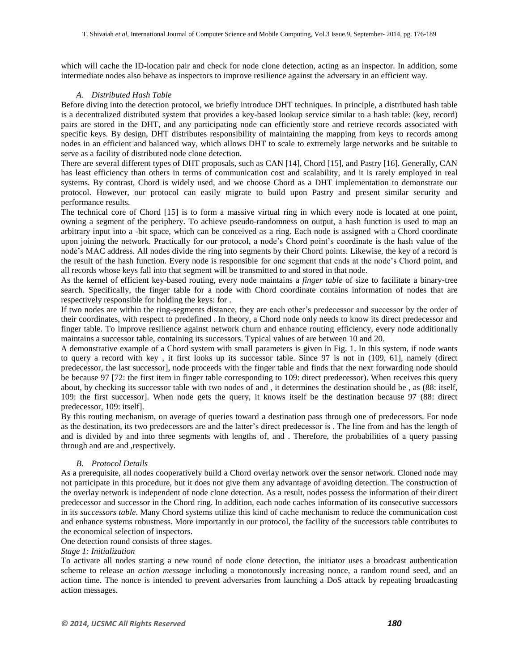which will cache the ID-location pair and check for node clone detection, acting as an inspector. In addition, some intermediate nodes also behave as inspectors to improve resilience against the adversary in an efficient way.

#### *A. Distributed Hash Table*

Before diving into the detection protocol, we briefly introduce DHT techniques. In principle, a distributed hash table is a decentralized distributed system that provides a key-based lookup service similar to a hash table: (key, record) pairs are stored in the DHT, and any participating node can efficiently store and retrieve records associated with specific keys. By design, DHT distributes responsibility of maintaining the mapping from keys to records among nodes in an efficient and balanced way, which allows DHT to scale to extremely large networks and be suitable to serve as a facility of distributed node clone detection.

There are several different types of DHT proposals, such as CAN [14], Chord [15], and Pastry [16]. Generally, CAN has least efficiency than others in terms of communication cost and scalability, and it is rarely employed in real systems. By contrast, Chord is widely used, and we choose Chord as a DHT implementation to demonstrate our protocol. However, our protocol can easily migrate to build upon Pastry and present similar security and performance results.

The technical core of Chord [15] is to form a massive virtual ring in which every node is located at one point, owning a segment of the periphery. To achieve pseudo-randomness on output, a hash function is used to map an arbitrary input into a -bit space, which can be conceived as a ring. Each node is assigned with a Chord coordinate upon joining the network. Practically for our protocol, a node's Chord point's coordinate is the hash value of the node's MAC address. All nodes divide the ring into segments by their Chord points. Likewise, the key of a record is the result of the hash function. Every node is responsible for one segment that ends at the node's Chord point, and all records whose keys fall into that segment will be transmitted to and stored in that node.

As the kernel of efficient key-based routing, every node maintains a *finger table* of size to facilitate a binary-tree search. Specifically, the finger table for a node with Chord coordinate contains information of nodes that are respectively responsible for holding the keys: for .

If two nodes are within the ring-segments distance, they are each other's predecessor and successor by the order of their coordinates, with respect to predefined . In theory, a Chord node only needs to know its direct predecessor and finger table. To improve resilience against network churn and enhance routing efficiency, every node additionally maintains a successor table, containing its successors. Typical values of are between 10 and 20.

A demonstrative example of a Chord system with small parameters is given in Fig. 1. In this system, if node wants to query a record with key , it first looks up its successor table. Since 97 is not in (109, 61], namely (direct predecessor, the last successor], node proceeds with the finger table and finds that the next forwarding node should be because 97 [72: the first item in finger table corresponding to 109: direct predecessor). When receives this query about, by checking its successor table with two nodes of and , it determines the destination should be , as (88: itself, 109: the first successor]. When node gets the query, it knows itself be the destination because 97 (88: direct predecessor, 109: itself].

By this routing mechanism, on average of queries toward a destination pass through one of predecessors. For node as the destination, its two predecessors are and the latter's direct predecessor is . The line from and has the length of and is divided by and into three segments with lengths of, and . Therefore, the probabilities of a query passing through and are and ,respectively.

#### *B. Protocol Details*

As a prerequisite, all nodes cooperatively build a Chord overlay network over the sensor network. Cloned node may not participate in this procedure, but it does not give them any advantage of avoiding detection. The construction of the overlay network is independent of node clone detection. As a result, nodes possess the information of their direct predecessor and successor in the Chord ring. In addition, each node caches information of its consecutive successors in its *successors table*. Many Chord systems utilize this kind of cache mechanism to reduce the communication cost and enhance systems robustness. More importantly in our protocol, the facility of the successors table contributes to the economical selection of inspectors.

One detection round consists of three stages.

#### *Stage 1: Initialization*

To activate all nodes starting a new round of node clone detection, the initiator uses a broadcast authentication scheme to release an *action message* including a monotonously increasing nonce, a random round seed, and an action time. The nonce is intended to prevent adversaries from launching a DoS attack by repeating broadcasting action messages.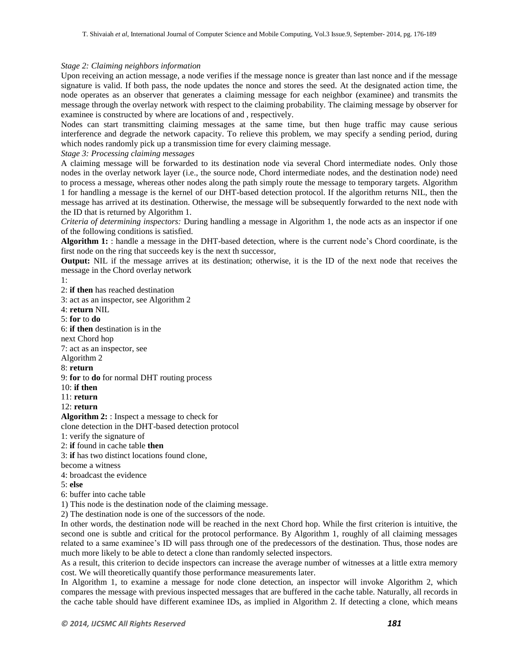#### *Stage 2: Claiming neighbors information*

Upon receiving an action message, a node verifies if the message nonce is greater than last nonce and if the message signature is valid. If both pass, the node updates the nonce and stores the seed. At the designated action time, the node operates as an observer that generates a claiming message for each neighbor (examinee) and transmits the message through the overlay network with respect to the claiming probability. The claiming message by observer for examinee is constructed by where are locations of and , respectively.

Nodes can start transmitting claiming messages at the same time, but then huge traffic may cause serious interference and degrade the network capacity. To relieve this problem, we may specify a sending period, during which nodes randomly pick up a transmission time for every claiming message.

#### *Stage 3: Processing claiming messages*

A claiming message will be forwarded to its destination node via several Chord intermediate nodes. Only those nodes in the overlay network layer (i.e., the source node, Chord intermediate nodes, and the destination node) need to process a message, whereas other nodes along the path simply route the message to temporary targets. Algorithm 1 for handling a message is the kernel of our DHT-based detection protocol. If the algorithm returns NIL, then the message has arrived at its destination. Otherwise, the message will be subsequently forwarded to the next node with the ID that is returned by Algorithm 1.

*Criteria of determining inspectors:* During handling a message in Algorithm 1, the node acts as an inspector if one of the following conditions is satisfied.

**Algorithm 1:** : handle a message in the DHT-based detection, where is the current node's Chord coordinate, is the first node on the ring that succeeds key is the next th successor,

**Output:** NIL if the message arrives at its destination; otherwise, it is the ID of the next node that receives the message in the Chord overlay network

1:

2: **if then** has reached destination

3: act as an inspector, see Algorithm 2

4: **return** NIL

5: **for** to **do**

6: **if then** destination is in the

next Chord hop

7: act as an inspector, see

Algorithm 2

#### 8: **return**

9: **for** to **do** for normal DHT routing process

#### 10: **if then**

11: **return**

12: **return**

**Algorithm 2:** : Inspect a message to check for

clone detection in the DHT-based detection protocol

#### 1: verify the signature of

2: **if** found in cache table **then**

3: **if** has two distinct locations found clone,

become a witness

4: broadcast the evidence

5: **else**

6: buffer into cache table

1) This node is the destination node of the claiming message.

2) The destination node is one of the successors of the node.

In other words, the destination node will be reached in the next Chord hop. While the first criterion is intuitive, the second one is subtle and critical for the protocol performance. By Algorithm 1, roughly of all claiming messages related to a same examinee's ID will pass through one of the predecessors of the destination. Thus, those nodes are much more likely to be able to detect a clone than randomly selected inspectors.

As a result, this criterion to decide inspectors can increase the average number of witnesses at a little extra memory cost. We will theoretically quantify those performance measurements later.

In Algorithm 1, to examine a message for node clone detection, an inspector will invoke Algorithm 2, which compares the message with previous inspected messages that are buffered in the cache table. Naturally, all records in the cache table should have different examinee IDs, as implied in Algorithm 2. If detecting a clone, which means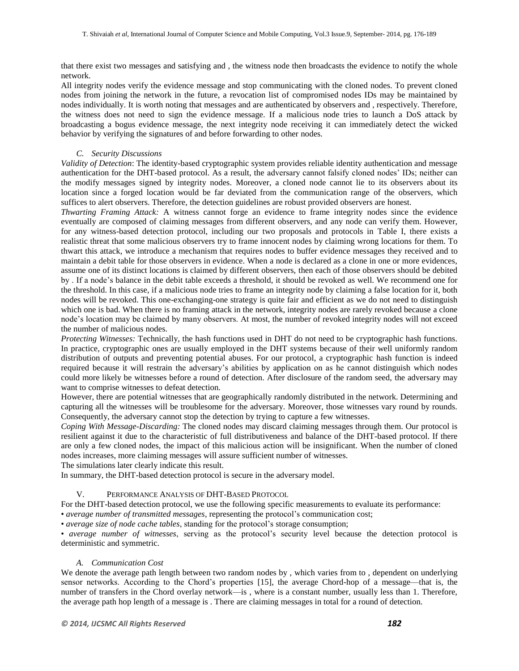that there exist two messages and satisfying and , the witness node then broadcasts the evidence to notify the whole network.

All integrity nodes verify the evidence message and stop communicating with the cloned nodes. To prevent cloned nodes from joining the network in the future, a revocation list of compromised nodes IDs may be maintained by nodes individually. It is worth noting that messages and are authenticated by observers and , respectively. Therefore, the witness does not need to sign the evidence message. If a malicious node tries to launch a DoS attack by broadcasting a bogus evidence message, the next integrity node receiving it can immediately detect the wicked behavior by verifying the signatures of and before forwarding to other nodes.

#### *C. Security Discussions*

*Validity of Detection*: The identity-based cryptographic system provides reliable identity authentication and message authentication for the DHT-based protocol. As a result, the adversary cannot falsify cloned nodes' IDs; neither can the modify messages signed by integrity nodes. Moreover, a cloned node cannot lie to its observers about its location since a forged location would be far deviated from the communication range of the observers, which suffices to alert observers. Therefore, the detection guidelines are robust provided observers are honest.

*Thwarting Framing Attack:* A witness cannot forge an evidence to frame integrity nodes since the evidence eventually are composed of claiming messages from different observers, and any node can verify them. However, for any witness-based detection protocol, including our two proposals and protocols in Table I, there exists a realistic threat that some malicious observers try to frame innocent nodes by claiming wrong locations for them. To thwart this attack, we introduce a mechanism that requires nodes to buffer evidence messages they received and to maintain a debit table for those observers in evidence. When a node is declared as a clone in one or more evidences, assume one of its distinct locations is claimed by different observers, then each of those observers should be debited by . If a node's balance in the debit table exceeds a threshold, it should be revoked as well. We recommend one for the threshold. In this case, if a malicious node tries to frame an integrity node by claiming a false location for it, both nodes will be revoked. This one-exchanging-one strategy is quite fair and efficient as we do not need to distinguish which one is bad. When there is no framing attack in the network, integrity nodes are rarely revoked because a clone node's location may be claimed by many observers. At most, the number of revoked integrity nodes will not exceed the number of malicious nodes.

*Protecting Witnesses:* Technically, the hash functions used in DHT do not need to be cryptographic hash functions. In practice, cryptographic ones are usually employed in the DHT systems because of their well uniformly random distribution of outputs and preventing potential abuses. For our protocol, a cryptographic hash function is indeed required because it will restrain the adversary's abilities by application on as he cannot distinguish which nodes could more likely be witnesses before a round of detection. After disclosure of the random seed, the adversary may want to comprise witnesses to defeat detection.

However, there are potential witnesses that are geographically randomly distributed in the network. Determining and capturing all the witnesses will be troublesome for the adversary. Moreover, those witnesses vary round by rounds. Consequently, the adversary cannot stop the detection by trying to capture a few witnesses.

*Coping With Message-Discarding:* The cloned nodes may discard claiming messages through them. Our protocol is resilient against it due to the characteristic of full distributiveness and balance of the DHT-based protocol. If there are only a few cloned nodes, the impact of this malicious action will be insignificant. When the number of cloned nodes increases, more claiming messages will assure sufficient number of witnesses.

The simulations later clearly indicate this result.

In summary, the DHT-based detection protocol is secure in the adversary model.

#### V. PERFORMANCE ANALYSIS OF DHT-BASED PROTOCOL

For the DHT-based detection protocol, we use the following specific measurements to evaluate its performance:

• *average number of transmitted messages*, representing the protocol's communication cost;

• *average size of node cache tables*, standing for the protocol's storage consumption;

• *average number of witnesses*, serving as the protocol's security level because the detection protocol is deterministic and symmetric.

#### *A. Communication Cost*

We denote the average path length between two random nodes by, which varies from to, dependent on underlying sensor networks. According to the Chord's properties [15], the average Chord-hop of a message—that is, the number of transfers in the Chord overlay network—is , where is a constant number, usually less than 1. Therefore, the average path hop length of a message is . There are claiming messages in total for a round of detection.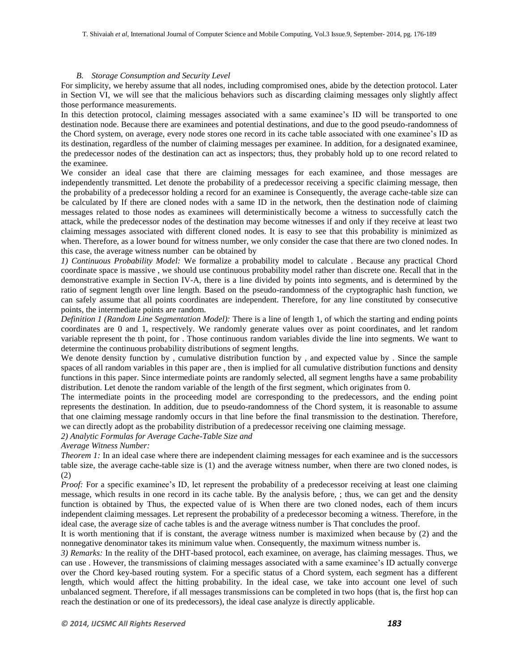#### *B. Storage Consumption and Security Level*

For simplicity, we hereby assume that all nodes, including compromised ones, abide by the detection protocol. Later in Section VI, we will see that the malicious behaviors such as discarding claiming messages only slightly affect those performance measurements.

In this detection protocol, claiming messages associated with a same examinee's ID will be transported to one destination node. Because there are examinees and potential destinations, and due to the good pseudo-randomness of the Chord system, on average, every node stores one record in its cache table associated with one examinee's ID as its destination, regardless of the number of claiming messages per examinee. In addition, for a designated examinee, the predecessor nodes of the destination can act as inspectors; thus, they probably hold up to one record related to the examinee.

We consider an ideal case that there are claiming messages for each examinee, and those messages are independently transmitted. Let denote the probability of a predecessor receiving a specific claiming message, then the probability of a predecessor holding a record for an examinee is Consequently, the average cache-table size can be calculated by If there are cloned nodes with a same ID in the network, then the destination node of claiming messages related to those nodes as examinees will deterministically become a witness to successfully catch the attack, while the predecessor nodes of the destination may become witnesses if and only if they receive at least two claiming messages associated with different cloned nodes. It is easy to see that this probability is minimized as when. Therefore, as a lower bound for witness number, we only consider the case that there are two cloned nodes. In this case, the average witness number can be obtained by

*1) Continuous Probability Model:* We formalize a probability model to calculate . Because any practical Chord coordinate space is massive , we should use continuous probability model rather than discrete one. Recall that in the demonstrative example in Section IV-A, there is a line divided by points into segments, and is determined by the ratio of segment length over line length. Based on the pseudo-randomness of the cryptographic hash function, we can safely assume that all points coordinates are independent. Therefore, for any line constituted by consecutive points, the intermediate points are random.

*Definition 1 (Random Line Segmentation Model):* There is a line of length 1, of which the starting and ending points coordinates are 0 and 1, respectively. We randomly generate values over as point coordinates, and let random variable represent the th point, for . Those continuous random variables divide the line into segments. We want to determine the continuous probability distributions of segment lengths.

We denote density function by , cumulative distribution function by , and expected value by . Since the sample spaces of all random variables in this paper are , then is implied for all cumulative distribution functions and density functions in this paper. Since intermediate points are randomly selected, all segment lengths have a same probability distribution. Let denote the random variable of the length of the first segment, which originates from 0.

The intermediate points in the proceeding model are corresponding to the predecessors, and the ending point represents the destination. In addition, due to pseudo-randomness of the Chord system, it is reasonable to assume that one claiming message randomly occurs in that line before the final transmission to the destination. Therefore, we can directly adopt as the probability distribution of a predecessor receiving one claiming message.

#### *2) Analytic Formulas for Average Cache-Table Size and*

*Average Witness Number:*

*Theorem 1:* In an ideal case where there are independent claiming messages for each examinee and is the successors table size, the average cache-table size is (1) and the average witness number, when there are two cloned nodes, is (2)

*Proof:* For a specific examinee's ID, let represent the probability of a predecessor receiving at least one claiming message, which results in one record in its cache table. By the analysis before, ; thus, we can get and the density function is obtained by Thus, the expected value of is When there are two cloned nodes, each of them incurs independent claiming messages. Let represent the probability of a predecessor becoming a witness. Therefore, in the ideal case, the average size of cache tables is and the average witness number is That concludes the proof.

It is worth mentioning that if is constant, the average witness number is maximized when because by (2) and the nonnegative denominator takes its minimum value when. Consequently, the maximum witness number is.

*3) Remarks:* In the reality of the DHT-based protocol, each examinee, on average, has claiming messages. Thus, we can use . However, the transmissions of claiming messages associated with a same examinee's ID actually converge over the Chord key-based routing system. For a specific status of a Chord system, each segment has a different length, which would affect the hitting probability. In the ideal case, we take into account one level of such unbalanced segment. Therefore, if all messages transmissions can be completed in two hops (that is, the first hop can reach the destination or one of its predecessors), the ideal case analyze is directly applicable.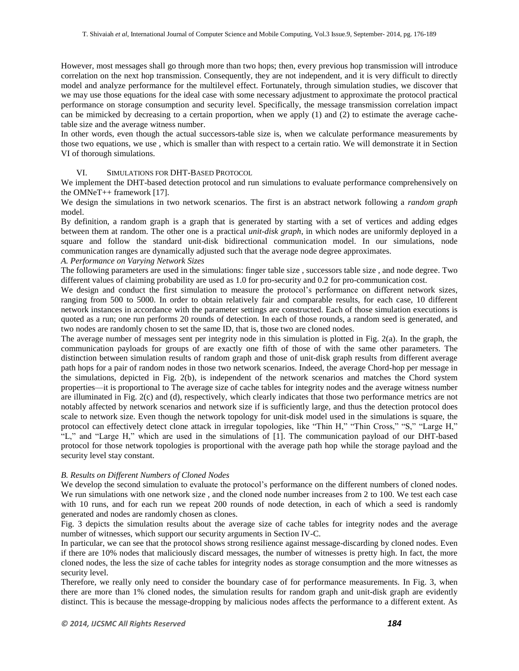However, most messages shall go through more than two hops; then, every previous hop transmission will introduce correlation on the next hop transmission. Consequently, they are not independent, and it is very difficult to directly model and analyze performance for the multilevel effect. Fortunately, through simulation studies, we discover that we may use those equations for the ideal case with some necessary adjustment to approximate the protocol practical performance on storage consumption and security level. Specifically, the message transmission correlation impact can be mimicked by decreasing to a certain proportion, when we apply (1) and (2) to estimate the average cachetable size and the average witness number.

In other words, even though the actual successors-table size is, when we calculate performance measurements by those two equations, we use , which is smaller than with respect to a certain ratio. We will demonstrate it in Section VI of thorough simulations.

#### VI. SIMULATIONS FOR DHT-BASED PROTOCOL

We implement the DHT-based detection protocol and run simulations to evaluate performance comprehensively on the OMNeT++ framework [17].

We design the simulations in two network scenarios. The first is an abstract network following a *random graph*  model.

By definition, a random graph is a graph that is generated by starting with a set of vertices and adding edges between them at random. The other one is a practical *unit-disk graph*, in which nodes are uniformly deployed in a square and follow the standard unit-disk bidirectional communication model. In our simulations, node communication ranges are dynamically adjusted such that the average node degree approximates.

#### *A. Performance on Varying Network Sizes*

The following parameters are used in the simulations: finger table size , successors table size , and node degree. Two different values of claiming probability are used as 1.0 for pro-security and 0.2 for pro-communication cost.

We design and conduct the first simulation to measure the protocol's performance on different network sizes, ranging from 500 to 5000. In order to obtain relatively fair and comparable results, for each case, 10 different network instances in accordance with the parameter settings are constructed. Each of those simulation executions is quoted as a run; one run performs 20 rounds of detection. In each of those rounds, a random seed is generated, and two nodes are randomly chosen to set the same ID, that is, those two are cloned nodes.

The average number of messages sent per integrity node in this simulation is plotted in Fig. 2(a). In the graph, the communication payloads for groups of are exactly one fifth of those of with the same other parameters. The distinction between simulation results of random graph and those of unit-disk graph results from different average path hops for a pair of random nodes in those two network scenarios. Indeed, the average Chord-hop per message in the simulations, depicted in Fig. 2(b), is independent of the network scenarios and matches the Chord system properties—it is proportional to The average size of cache tables for integrity nodes and the average witness number are illuminated in Fig. 2(c) and (d), respectively, which clearly indicates that those two performance metrics are not notably affected by network scenarios and network size if is sufficiently large, and thus the detection protocol does scale to network size. Even though the network topology for unit-disk model used in the simulations is square, the protocol can effectively detect clone attack in irregular topologies, like "Thin H," "Thin Cross," "S," "Large H,"  $\cdot$ L," and "Large H," which are used in the simulations of [1]. The communication payload of our DHT-based protocol for those network topologies is proportional with the average path hop while the storage payload and the security level stay constant.

#### *B. Results on Different Numbers of Cloned Nodes*

We develop the second simulation to evaluate the protocol's performance on the different numbers of cloned nodes. We run simulations with one network size, and the cloned node number increases from 2 to 100. We test each case with 10 runs, and for each run we repeat 200 rounds of node detection, in each of which a seed is randomly generated and nodes are randomly chosen as clones.

Fig. 3 depicts the simulation results about the average size of cache tables for integrity nodes and the average number of witnesses, which support our security arguments in Section IV-C.

In particular, we can see that the protocol shows strong resilience against message-discarding by cloned nodes. Even if there are 10% nodes that maliciously discard messages, the number of witnesses is pretty high. In fact, the more cloned nodes, the less the size of cache tables for integrity nodes as storage consumption and the more witnesses as security level.

Therefore, we really only need to consider the boundary case of for performance measurements. In Fig. 3, when there are more than 1% cloned nodes, the simulation results for random graph and unit-disk graph are evidently distinct. This is because the message-dropping by malicious nodes affects the performance to a different extent. As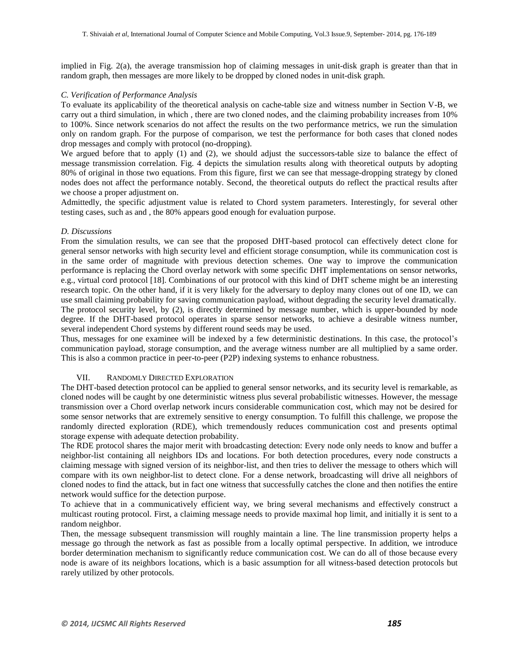implied in Fig. 2(a), the average transmission hop of claiming messages in unit-disk graph is greater than that in random graph, then messages are more likely to be dropped by cloned nodes in unit-disk graph.

#### *C. Verification of Performance Analysis*

To evaluate its applicability of the theoretical analysis on cache-table size and witness number in Section V-B, we carry out a third simulation, in which , there are two cloned nodes, and the claiming probability increases from 10% to 100%. Since network scenarios do not affect the results on the two performance metrics, we run the simulation only on random graph. For the purpose of comparison, we test the performance for both cases that cloned nodes drop messages and comply with protocol (no-dropping).

We argued before that to apply (1) and (2), we should adjust the successors-table size to balance the effect of message transmission correlation. Fig. 4 depicts the simulation results along with theoretical outputs by adopting 80% of original in those two equations. From this figure, first we can see that message-dropping strategy by cloned nodes does not affect the performance notably. Second, the theoretical outputs do reflect the practical results after we choose a proper adjustment on.

Admittedly, the specific adjustment value is related to Chord system parameters. Interestingly, for several other testing cases, such as and , the 80% appears good enough for evaluation purpose.

#### *D. Discussions*

From the simulation results, we can see that the proposed DHT-based protocol can effectively detect clone for general sensor networks with high security level and efficient storage consumption, while its communication cost is in the same order of magnitude with previous detection schemes. One way to improve the communication performance is replacing the Chord overlay network with some specific DHT implementations on sensor networks, e.g., virtual cord protocol [18]. Combinations of our protocol with this kind of DHT scheme might be an interesting research topic. On the other hand, if it is very likely for the adversary to deploy many clones out of one ID, we can use small claiming probability for saving communication payload, without degrading the security level dramatically. The protocol security level, by (2), is directly determined by message number, which is upper-bounded by node degree. If the DHT-based protocol operates in sparse sensor networks, to achieve a desirable witness number, several independent Chord systems by different round seeds may be used.

Thus, messages for one examinee will be indexed by a few deterministic destinations. In this case, the protocol's communication payload, storage consumption, and the average witness number are all multiplied by a same order. This is also a common practice in peer-to-peer (P2P) indexing systems to enhance robustness.

#### VII. RANDOMLY DIRECTED EXPLORATION

The DHT-based detection protocol can be applied to general sensor networks, and its security level is remarkable, as cloned nodes will be caught by one deterministic witness plus several probabilistic witnesses. However, the message transmission over a Chord overlap network incurs considerable communication cost, which may not be desired for some sensor networks that are extremely sensitive to energy consumption. To fulfill this challenge, we propose the randomly directed exploration (RDE), which tremendously reduces communication cost and presents optimal storage expense with adequate detection probability.

The RDE protocol shares the major merit with broadcasting detection: Every node only needs to know and buffer a neighbor-list containing all neighbors IDs and locations. For both detection procedures, every node constructs a claiming message with signed version of its neighbor-list, and then tries to deliver the message to others which will compare with its own neighbor-list to detect clone. For a dense network, broadcasting will drive all neighbors of cloned nodes to find the attack, but in fact one witness that successfully catches the clone and then notifies the entire network would suffice for the detection purpose.

To achieve that in a communicatively efficient way, we bring several mechanisms and effectively construct a multicast routing protocol. First, a claiming message needs to provide maximal hop limit, and initially it is sent to a random neighbor.

Then, the message subsequent transmission will roughly maintain a line. The line transmission property helps a message go through the network as fast as possible from a locally optimal perspective. In addition, we introduce border determination mechanism to significantly reduce communication cost. We can do all of those because every node is aware of its neighbors locations, which is a basic assumption for all witness-based detection protocols but rarely utilized by other protocols.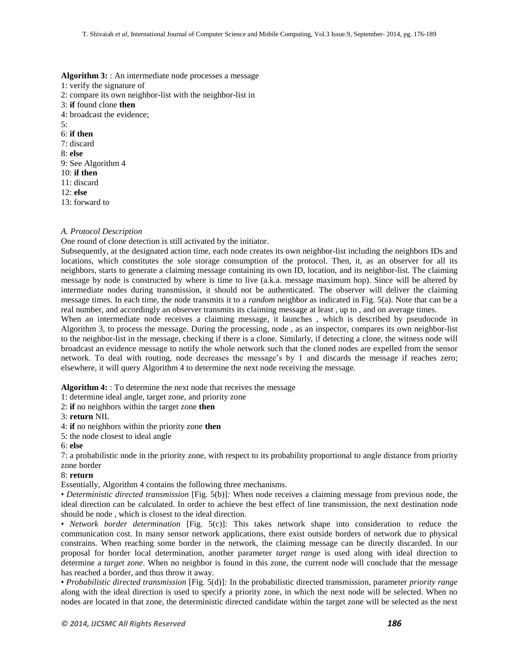- **Algorithm 3:** : An intermediate node processes a message
- 1: verify the signature of
- 2: compare its own neighbor-list with the neighbor-list in
- 3: **if** found clone **then**
- 4: broadcast the evidence;
- 5:
- 6: **if then**
- 7: discard
- 8: **else**
- 9: See Algorithm 4
- 10: **if then**
- 11: discard
- 12: **else**
- 13: forward to

#### *A. Protocol Description*

One round of clone detection is still activated by the initiator.

Subsequently, at the designated action time, each node creates its own neighbor-list including the neighbors IDs and locations, which constitutes the sole storage consumption of the protocol. Then, it, as an observer for all its neighbors, starts to generate a claiming message containing its own ID, location, and its neighbor-list. The claiming message by node is constructed by where is time to live (a.k.a. message maximum hop). Since will be altered by intermediate nodes during transmission, it should not be authenticated. The observer will deliver the claiming message times. In each time, the node transmits it to a *random* neighbor as indicated in Fig. 5(a). Note that can be a real number, and accordingly an observer transmits its claiming message at least , up to , and on average times.

When an intermediate node receives a claiming message, it launches , which is described by pseudocode in Algorithm 3, to process the message. During the processing, node , as an inspector, compares its own neighbor-list to the neighbor-list in the message, checking if there is a clone. Similarly, if detecting a clone, the witness node will broadcast an evidence message to notify the whole network such that the cloned nodes are expelled from the sensor network. To deal with routing, node decreases the message's by 1 and discards the message if reaches zero; elsewhere, it will query Algorithm 4 to determine the next node receiving the message.

**Algorithm 4:** : To determine the next node that receives the message

1: determine ideal angle, target zone, and priority zone

2: **if** no neighbors within the target zone **then**

3: **return** NIL

4: **if** no neighbors within the priority zone **then**

5: the node closest to ideal angle

6: **else**

7: a probabilistic node in the priority zone, with respect to its probability proportional to angle distance from priority zone border

#### 8: **return**

Essentially, Algorithm 4 contains the following three mechanisms.

• *Deterministic directed transmission* [Fig. 5(b)]*:* When node receives a claiming message from previous node, the ideal direction can be calculated. In order to achieve the best effect of line transmission, the next destination node should be node , which is closest to the ideal direction.

• *Network border determination* [Fig. 5(c)]: This takes network shape into consideration to reduce the communication cost. In many sensor network applications, there exist outside borders of network due to physical constrains. When reaching some border in the network, the claiming message can be directly discarded. In our proposal for border local determination, another parameter *target range* is used along with ideal direction to determine a *target zone*. When no neighbor is found in this zone, the current node will conclude that the message has reached a border, and thus throw it away.

• *Probabilistic directed transmission* [Fig. 5(d)]*:* In the probabilistic directed transmission, parameter *priority range* along with the ideal direction is used to specify a priority zone, in which the next node will be selected. When no nodes are located in that zone, the deterministic directed candidate within the target zone will be selected as the next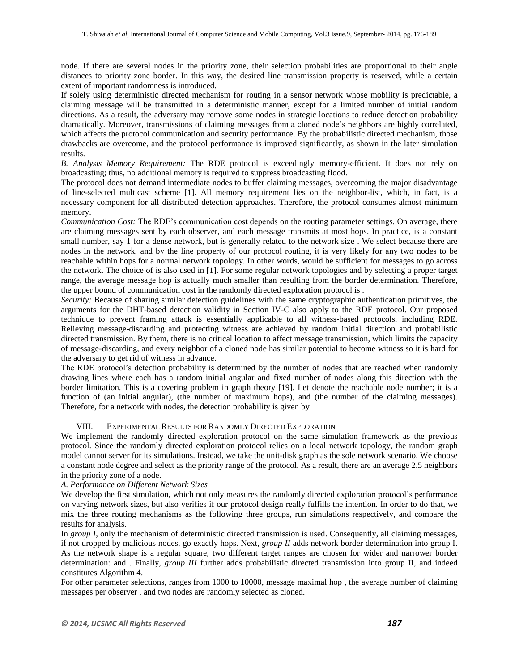node. If there are several nodes in the priority zone, their selection probabilities are proportional to their angle distances to priority zone border. In this way, the desired line transmission property is reserved, while a certain extent of important randomness is introduced.

If solely using deterministic directed mechanism for routing in a sensor network whose mobility is predictable, a claiming message will be transmitted in a deterministic manner, except for a limited number of initial random directions. As a result, the adversary may remove some nodes in strategic locations to reduce detection probability dramatically. Moreover, transmissions of claiming messages from a cloned node's neighbors are highly correlated, which affects the protocol communication and security performance. By the probabilistic directed mechanism, those drawbacks are overcome, and the protocol performance is improved significantly, as shown in the later simulation results.

*B. Analysis Memory Requirement:* The RDE protocol is exceedingly memory-efficient. It does not rely on broadcasting; thus, no additional memory is required to suppress broadcasting flood.

The protocol does not demand intermediate nodes to buffer claiming messages, overcoming the major disadvantage of line-selected multicast scheme [1]. All memory requirement lies on the neighbor-list, which, in fact, is a necessary component for all distributed detection approaches. Therefore, the protocol consumes almost minimum memory.

*Communication Cost:* The RDE's communication cost depends on the routing parameter settings. On average, there are claiming messages sent by each observer, and each message transmits at most hops. In practice, is a constant small number, say 1 for a dense network, but is generally related to the network size . We select because there are nodes in the network, and by the line property of our protocol routing, it is very likely for any two nodes to be reachable within hops for a normal network topology. In other words, would be sufficient for messages to go across the network. The choice of is also used in [1]. For some regular network topologies and by selecting a proper target range, the average message hop is actually much smaller than resulting from the border determination. Therefore, the upper bound of communication cost in the randomly directed exploration protocol is .

*Security:* Because of sharing similar detection guidelines with the same cryptographic authentication primitives, the arguments for the DHT-based detection validity in Section IV-C also apply to the RDE protocol. Our proposed technique to prevent framing attack is essentially applicable to all witness-based protocols, including RDE. Relieving message-discarding and protecting witness are achieved by random initial direction and probabilistic directed transmission. By them, there is no critical location to affect message transmission, which limits the capacity of message-discarding, and every neighbor of a cloned node has similar potential to become witness so it is hard for the adversary to get rid of witness in advance.

The RDE protocol's detection probability is determined by the number of nodes that are reached when randomly drawing lines where each has a random initial angular and fixed number of nodes along this direction with the border limitation. This is a covering problem in graph theory [19]. Let denote the reachable node number; it is a function of (an initial angular), (the number of maximum hops), and (the number of the claiming messages). Therefore, for a network with nodes, the detection probability is given by

#### VIII. EXPERIMENTAL RESULTS FOR RANDOMLY DIRECTED EXPLORATION

We implement the randomly directed exploration protocol on the same simulation framework as the previous protocol. Since the randomly directed exploration protocol relies on a local network topology, the random graph model cannot server for its simulations. Instead, we take the unit-disk graph as the sole network scenario. We choose a constant node degree and select as the priority range of the protocol. As a result, there are an average 2.5 neighbors in the priority zone of a node.

#### *A. Performance on Different Network Sizes*

We develop the first simulation, which not only measures the randomly directed exploration protocol's performance on varying network sizes, but also verifies if our protocol design really fulfills the intention. In order to do that, we mix the three routing mechanisms as the following three groups, run simulations respectively, and compare the results for analysis.

In *group I*, only the mechanism of deterministic directed transmission is used. Consequently, all claiming messages, if not dropped by malicious nodes, go exactly hops. Next, *group II* adds network border determination into group I. As the network shape is a regular square, two different target ranges are chosen for wider and narrower border determination: and . Finally, *group III* further adds probabilistic directed transmission into group II, and indeed constitutes Algorithm 4.

For other parameter selections, ranges from 1000 to 10000, message maximal hop, the average number of claiming messages per observer , and two nodes are randomly selected as cloned.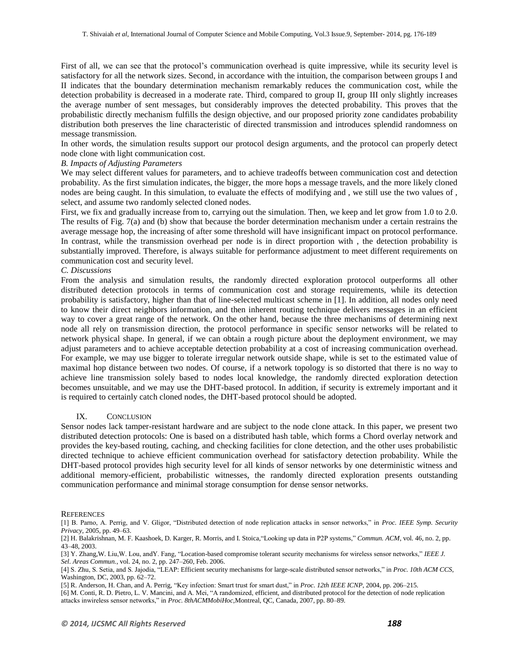First of all, we can see that the protocol's communication overhead is quite impressive, while its security level is satisfactory for all the network sizes. Second, in accordance with the intuition, the comparison between groups I and II indicates that the boundary determination mechanism remarkably reduces the communication cost, while the detection probability is decreased in a moderate rate. Third, compared to group II, group III only slightly increases the average number of sent messages, but considerably improves the detected probability. This proves that the probabilistic directly mechanism fulfills the design objective, and our proposed priority zone candidates probability distribution both preserves the line characteristic of directed transmission and introduces splendid randomness on message transmission.

In other words, the simulation results support our protocol design arguments, and the protocol can properly detect node clone with light communication cost.

#### *B. Impacts of Adjusting Parameters*

We may select different values for parameters, and to achieve tradeoffs between communication cost and detection probability. As the first simulation indicates, the bigger, the more hops a message travels, and the more likely cloned nodes are being caught. In this simulation, to evaluate the effects of modifying and , we still use the two values of , select, and assume two randomly selected cloned nodes.

First, we fix and gradually increase from to, carrying out the simulation. Then, we keep and let grow from 1.0 to 2.0. The results of Fig. 7(a) and (b) show that because the border determination mechanism under a certain restrains the average message hop, the increasing of after some threshold will have insignificant impact on protocol performance. In contrast, while the transmission overhead per node is in direct proportion with , the detection probability is substantially improved. Therefore, is always suitable for performance adjustment to meet different requirements on communication cost and security level.

#### *C. Discussions*

From the analysis and simulation results, the randomly directed exploration protocol outperforms all other distributed detection protocols in terms of communication cost and storage requirements, while its detection probability is satisfactory, higher than that of line-selected multicast scheme in [1]. In addition, all nodes only need to know their direct neighbors information, and then inherent routing technique delivers messages in an efficient way to cover a great range of the network. On the other hand, because the three mechanisms of determining next node all rely on transmission direction, the protocol performance in specific sensor networks will be related to network physical shape. In general, if we can obtain a rough picture about the deployment environment, we may adjust parameters and to achieve acceptable detection probability at a cost of increasing communication overhead. For example, we may use bigger to tolerate irregular network outside shape, while is set to the estimated value of maximal hop distance between two nodes. Of course, if a network topology is so distorted that there is no way to achieve line transmission solely based to nodes local knowledge, the randomly directed exploration detection becomes unsuitable, and we may use the DHT-based protocol. In addition, if security is extremely important and it is required to certainly catch cloned nodes, the DHT-based protocol should be adopted.

#### IX. CONCLUSION

Sensor nodes lack tamper-resistant hardware and are subject to the node clone attack. In this paper, we present two distributed detection protocols: One is based on a distributed hash table, which forms a Chord overlay network and provides the key-based routing, caching, and checking facilities for clone detection, and the other uses probabilistic directed technique to achieve efficient communication overhead for satisfactory detection probability. While the DHT-based protocol provides high security level for all kinds of sensor networks by one deterministic witness and additional memory-efficient, probabilistic witnesses, the randomly directed exploration presents outstanding communication performance and minimal storage consumption for dense sensor networks.

#### **REFERENCES**

[1] B. Parno, A. Perrig, and V. Gligor, "Distributed detection of node replication attacks in sensor networks," in *Proc. IEEE Symp. Security Privacy*, 2005, pp. 49–63.

[2] H. Balakrishnan, M. F. Kaashoek, D. Karger, R. Morris, and I. Stoica, "Looking up data in P2P systems," *Commun. ACM*, vol. 46, no. 2, pp. 43–48, 2003.

[3] Y. Zhang, W. Liu, W. Lou, and Y. Fang, "Location-based compromise tolerant security mechanisms for wireless sensor networks," IEEE J. *Sel. Areas Commun.*, vol. 24, no. 2, pp. 247–260, Feb. 2006.

[4] S. Zhu, S. Setia, and S. Jajodia, "LEAP: Efficient security mechanisms for large-scale distributed sensor networks," in *Proc. 10th ACM CCS*, Washington, DC, 2003, pp. 62–72.

[5] R. Anderson, H. Chan, and A. Perrig, "Key infection: Smart trust for smart dust," in *Proc. 12th IEEE ICNP*, 2004, pp. 206–215. [6] M. Conti, R. D. Pietro, L. V. Mancini, and A. Mei, "A randomized, efficient, and distributed protocol for the detection of node replication attacks inwireless sensor networks," in *Proc. 8thACMMobiHoc*,Montreal, QC, Canada, 2007, pp. 80-89.